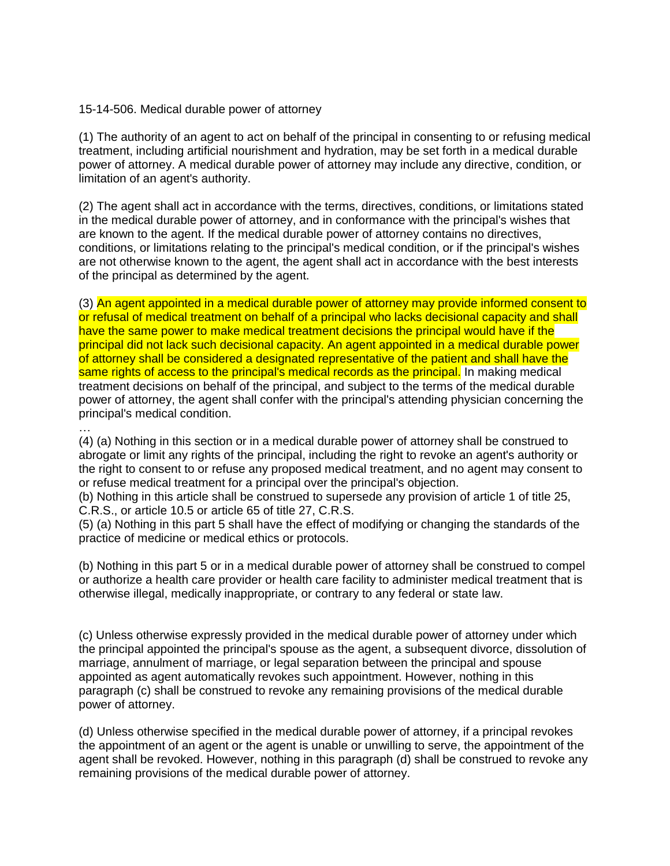15-14-506. Medical durable power of attorney

(1) The authority of an agent to act on behalf of the principal in consenting to or refusing medical treatment, including artificial nourishment and hydration, may be set forth in a medical durable power of attorney. A medical durable power of attorney may include any directive, condition, or limitation of an agent's authority.

(2) The agent shall act in accordance with the terms, directives, conditions, or limitations stated in the medical durable power of attorney, and in conformance with the principal's wishes that are known to the agent. If the medical durable power of attorney contains no directives, conditions, or limitations relating to the principal's medical condition, or if the principal's wishes are not otherwise known to the agent, the agent shall act in accordance with the best interests of the principal as determined by the agent.

(3) An agent appointed in a medical durable power of attorney may provide informed consent to or refusal of medical treatment on behalf of a principal who lacks decisional capacity and shall have the same power to make medical treatment decisions the principal would have if the principal did not lack such decisional capacity. An agent appointed in a medical durable power of attorney shall be considered a designated representative of the patient and shall have the same rights of access to the principal's medical records as the principal. In making medical treatment decisions on behalf of the principal, and subject to the terms of the medical durable power of attorney, the agent shall confer with the principal's attending physician concerning the principal's medical condition.

… (4) (a) Nothing in this section or in a medical durable power of attorney shall be construed to abrogate or limit any rights of the principal, including the right to revoke an agent's authority or the right to consent to or refuse any proposed medical treatment, and no agent may consent to or refuse medical treatment for a principal over the principal's objection.

(b) Nothing in this article shall be construed to supersede any provision of article 1 of title 25, C.R.S., or article 10.5 or article 65 of title 27, C.R.S.

(5) (a) Nothing in this part 5 shall have the effect of modifying or changing the standards of the practice of medicine or medical ethics or protocols.

(b) Nothing in this part 5 or in a medical durable power of attorney shall be construed to compel or authorize a health care provider or health care facility to administer medical treatment that is otherwise illegal, medically inappropriate, or contrary to any federal or state law.

(c) Unless otherwise expressly provided in the medical durable power of attorney under which the principal appointed the principal's spouse as the agent, a subsequent divorce, dissolution of marriage, annulment of marriage, or legal separation between the principal and spouse appointed as agent automatically revokes such appointment. However, nothing in this paragraph (c) shall be construed to revoke any remaining provisions of the medical durable power of attorney.

(d) Unless otherwise specified in the medical durable power of attorney, if a principal revokes the appointment of an agent or the agent is unable or unwilling to serve, the appointment of the agent shall be revoked. However, nothing in this paragraph (d) shall be construed to revoke any remaining provisions of the medical durable power of attorney.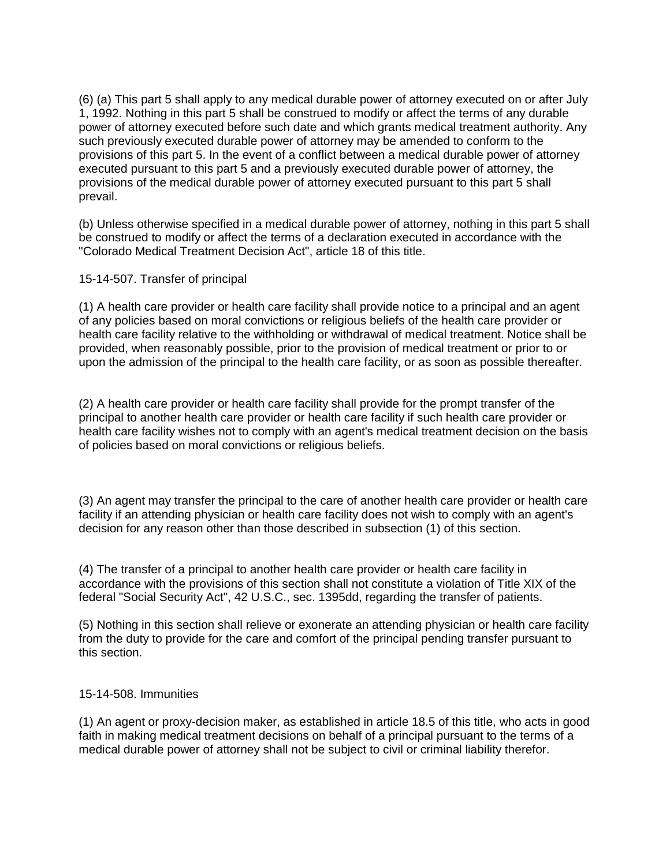(6) (a) This part 5 shall apply to any medical durable power of attorney executed on or after July 1, 1992. Nothing in this part 5 shall be construed to modify or affect the terms of any durable power of attorney executed before such date and which grants medical treatment authority. Any such previously executed durable power of attorney may be amended to conform to the provisions of this part 5. In the event of a conflict between a medical durable power of attorney executed pursuant to this part 5 and a previously executed durable power of attorney, the provisions of the medical durable power of attorney executed pursuant to this part 5 shall prevail.

(b) Unless otherwise specified in a medical durable power of attorney, nothing in this part 5 shall be construed to modify or affect the terms of a declaration executed in accordance with the "Colorado Medical Treatment Decision Act", article 18 of this title.

## 15-14-507. Transfer of principal

(1) A health care provider or health care facility shall provide notice to a principal and an agent of any policies based on moral convictions or religious beliefs of the health care provider or health care facility relative to the withholding or withdrawal of medical treatment. Notice shall be provided, when reasonably possible, prior to the provision of medical treatment or prior to or upon the admission of the principal to the health care facility, or as soon as possible thereafter.

(2) A health care provider or health care facility shall provide for the prompt transfer of the principal to another health care provider or health care facility if such health care provider or health care facility wishes not to comply with an agent's medical treatment decision on the basis of policies based on moral convictions or religious beliefs.

(3) An agent may transfer the principal to the care of another health care provider or health care facility if an attending physician or health care facility does not wish to comply with an agent's decision for any reason other than those described in subsection (1) of this section.

(4) The transfer of a principal to another health care provider or health care facility in accordance with the provisions of this section shall not constitute a violation of Title XIX of the federal "Social Security Act", 42 U.S.C., sec. 1395dd, regarding the transfer of patients.

(5) Nothing in this section shall relieve or exonerate an attending physician or health care facility from the duty to provide for the care and comfort of the principal pending transfer pursuant to this section.

## 15-14-508. Immunities

(1) An agent or proxy-decision maker, as established in article 18.5 of this title, who acts in good faith in making medical treatment decisions on behalf of a principal pursuant to the terms of a medical durable power of attorney shall not be subject to civil or criminal liability therefor.